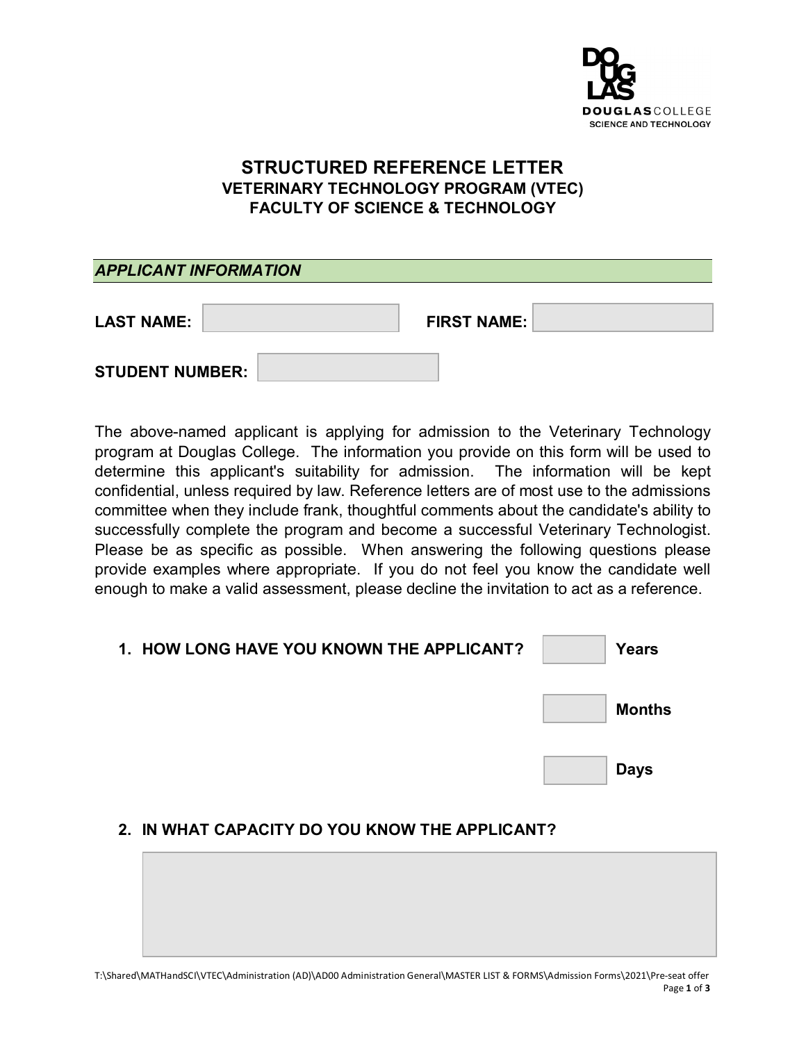

# **STRUCTURED REFERENCE LETTER VETERINARY TECHNOLOGY PROGRAM (VTEC) FACULTY OF SCIENCE & TECHNOLOGY**

| <b>APPLICANT INFORMATION</b> |                    |
|------------------------------|--------------------|
| <b>LAST NAME:</b>            | <b>FIRST NAME:</b> |
| <b>STUDENT NUMBER:</b>       |                    |

The above-named applicant is applying for admission to the Veterinary Technology program at Douglas College. The information you provide on this form will be used to determine this applicant's suitability for admission. The information will be kept confidential, unless required by law. Reference letters are of most use to the admissions committee when they include frank, thoughtful comments about the candidate's ability to successfully complete the program and become a successful Veterinary Technologist. Please be as specific as possible. When answering the following questions please provide examples where appropriate. If you do not feel you know the candidate well enough to make a valid assessment, please decline the invitation to act as a reference.

| 1. HOW LONG HAVE YOU KNOWN THE APPLICANT? | Years         |
|-------------------------------------------|---------------|
|                                           | <b>Months</b> |
|                                           | <b>Days</b>   |

#### **2. IN WHAT CAPACITY DO YOU KNOW THE APPLICANT?**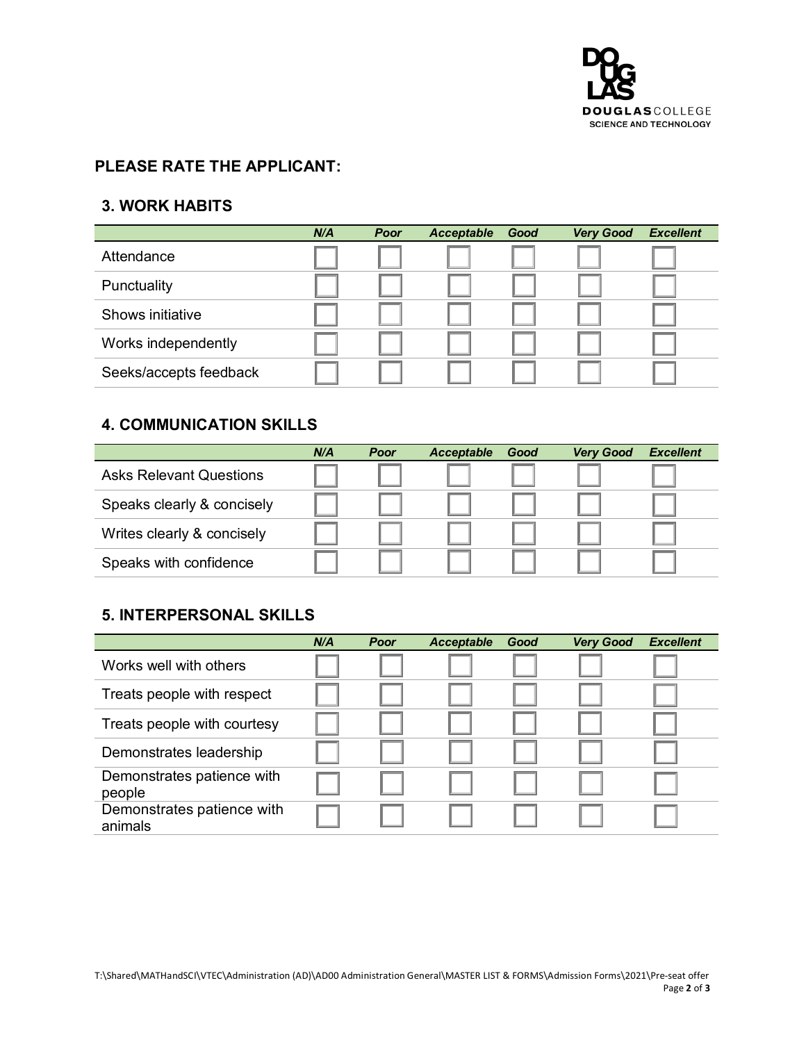

#### **PLEASE RATE THE APPLICANT:**

### **3. WORK HABITS**

|                        | N/A | Poor | Acceptable | Good | <b>Very Good</b> | <b>Excellent</b> |
|------------------------|-----|------|------------|------|------------------|------------------|
| Attendance             |     |      |            |      |                  |                  |
| Punctuality            |     |      |            |      |                  |                  |
| Shows initiative       |     |      |            |      |                  |                  |
| Works independently    |     |      |            |      |                  |                  |
| Seeks/accepts feedback |     |      |            |      |                  |                  |

## **4. COMMUNICATION SKILLS**

|                                | N/A | Poor | <b>Acceptable</b> | Good | <b>Very Good</b> | <b>Excellent</b> |
|--------------------------------|-----|------|-------------------|------|------------------|------------------|
| <b>Asks Relevant Questions</b> |     |      |                   |      |                  |                  |
| Speaks clearly & concisely     |     |      |                   |      |                  |                  |
| Writes clearly & concisely     |     |      |                   |      |                  |                  |
| Speaks with confidence         |     |      |                   |      |                  |                  |

## **5. INTERPERSONAL SKILLS**

|                                       | N/A | Poor | <b>Acceptable</b> | Good | <b>Very Good</b> | <b>Excellent</b> |
|---------------------------------------|-----|------|-------------------|------|------------------|------------------|
| Works well with others                |     |      |                   |      |                  |                  |
| Treats people with respect            |     |      |                   |      |                  |                  |
| Treats people with courtesy           |     |      |                   |      |                  |                  |
| Demonstrates leadership               |     |      |                   |      |                  |                  |
| Demonstrates patience with<br>people  |     |      |                   |      |                  |                  |
| Demonstrates patience with<br>animals |     |      |                   |      |                  |                  |